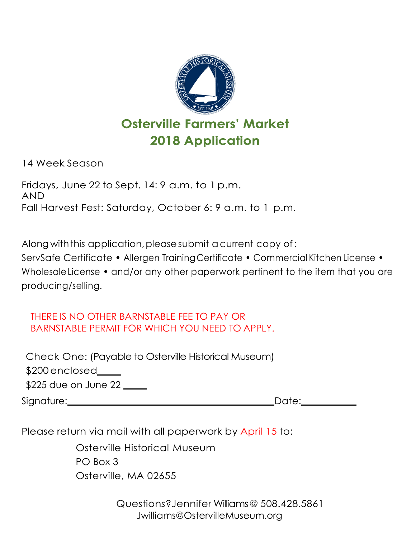

**Osterville Farmers' Market 2018 Application** 

14 Week Season

Fridays, June 22 to Sept. 14: 9 a.m. to 1 p.m. AND Fall Harvest Fest: Saturday, October 6: 9 a.m. to 1 p.m.

Along with this application, please submit a current copy of:

ServSafe Certificate • Allergen TrainingCertificate • Commercial Kitchen License • WholesaleLicense • and/or any other paperwork pertinent to the item that you are producing/selling.

## THERE IS NO OTHER BARNSTABLE FEE TO PAY OR BARNSTABLE PERMIT FOR WHICH YOU NEED TO APPLY.

Check One: (Payable to Osterville Historical Museum) \$200 enclosed\_\_\_\_\_ \$225 due on June 22 \_\_\_\_\_ Signature: Date: Date: Date:

Please return via mail with all paperwork by April 15 to:

Osterville Historical Museum PO Box 3 Osterville, MA 02655

> Questions?Jennifer Williams@ 508.428.5861 Jwilliams@OstervilleMuseum.org